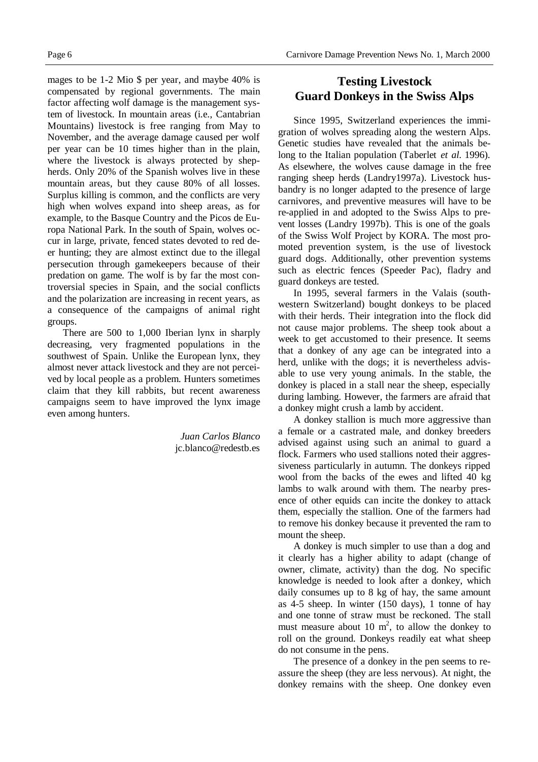mages to be 1-2 Mio \$ per year, and maybe 40% is compensated by regional governments. The main factor affecting wolf damage is the management system of livestock. In mountain areas (i.e., Cantabrian Mountains) livestock is free ranging from May to November, and the average damage caused per wolf per year can be 10 times higher than in the plain, where the livestock is always protected by shepherds. Only 20% of the Spanish wolves live in these mountain areas, but they cause 80% of all losses. Surplus killing is common, and the conflicts are very high when wolves expand into sheep areas, as for example, to the Basque Country and the Picos de Europa National Park. In the south of Spain, wolves occur in large, private, fenced states devoted to red deer hunting; they are almost extinct due to the illegal persecution through gamekeepers because of their predation on game. The wolf is by far the most controversial species in Spain, and the social conflicts and the polarization are increasing in recent years, as a consequence of the campaigns of animal right groups.

There are 500 to 1,000 Iberian lynx in sharply decreasing, very fragmented populations in the southwest of Spain. Unlike the European lynx, they almost never attack livestock and they are not perceived by local people as a problem. Hunters sometimes claim that they kill rabbits, but recent awareness campaigns seem to have improved the lynx image even among hunters.

> *Juan Carlos Blanco* jc.blanco@redestb.es

## **Testing Livestock Guard Donkeys in the Swiss Alps**

Since 1995, Switzerland experiences the immigration of wolves spreading along the western Alps. Genetic studies have revealed that the animals belong to the Italian population (Taberlet *et al.* 1996). As elsewhere, the wolves cause damage in the free ranging sheep herds (Landry1997a). Livestock husbandry is no longer adapted to the presence of large carnivores, and preventive measures will have to be re-applied in and adopted to the Swiss Alps to prevent losses (Landry 1997b). This is one of the goals of the Swiss Wolf Project by KORA. The most promoted prevention system, is the use of livestock guard dogs. Additionally, other prevention systems such as electric fences (Speeder Pac), fladry and guard donkeys are tested.

In 1995, several farmers in the Valais (southwestern Switzerland) bought donkeys to be placed with their herds. Their integration into the flock did not cause major problems. The sheep took about a week to get accustomed to their presence. It seems that a donkey of any age can be integrated into a herd, unlike with the dogs; it is nevertheless advisable to use very young animals. In the stable, the donkey is placed in a stall near the sheep, especially during lambing. However, the farmers are afraid that a donkey might crush a lamb by accident.

A donkey stallion is much more aggressive than a female or a castrated male, and donkey breeders advised against using such an animal to guard a flock. Farmers who used stallions noted their aggressiveness particularly in autumn. The donkeys ripped wool from the backs of the ewes and lifted 40 kg lambs to walk around with them. The nearby presence of other equids can incite the donkey to attack them, especially the stallion. One of the farmers had to remove his donkey because it prevented the ram to mount the sheep.

A donkey is much simpler to use than a dog and it clearly has a higher ability to adapt (change of owner, climate, activity) than the dog. No specific knowledge is needed to look after a donkey, which daily consumes up to 8 kg of hay, the same amount as 4-5 sheep. In winter (150 days), 1 tonne of hay and one tonne of straw must be reckoned. The stall must measure about 10  $m^2$ , to allow the donkey to roll on the ground. Donkeys readily eat what sheep do not consume in the pens.

The presence of a donkey in the pen seems to reassure the sheep (they are less nervous). At night, the donkey remains with the sheep. One donkey even